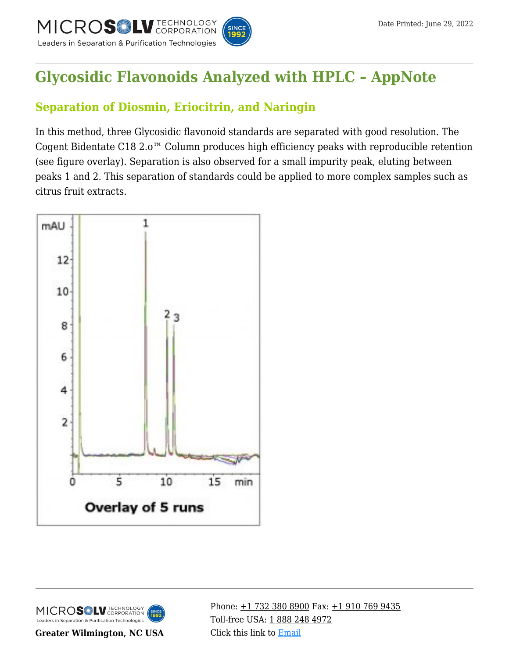

# **[Glycosidic Flavonoids Analyzed with HPLC – AppNote](https://kb.mtc-usa.com/article/aa-02130/46/)**

## **Separation of Diosmin, Eriocitrin, and Naringin**

In this method, three Glycosidic flavonoid standards are separated with good resolution. The Cogent Bidentate C18 2.o™ Column produces high efficiency peaks with reproducible retention (see figure overlay). Separation is also observed for a small impurity peak, eluting between peaks 1 and 2. This separation of standards could be applied to more complex samples such as citrus fruit extracts.





**Greater Wilmington, NC USA**

Phone:  $\pm$ 1 732 380 8900 Fax:  $\pm$ 1 910 769 9435 Toll-free USA: [1 888 248 4972](#page--1-0) Click this link to [Email](https://www.mtc-usa.com/contact)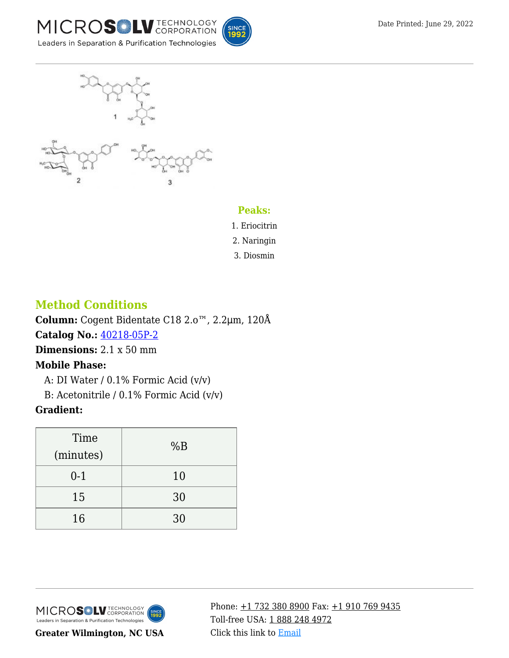





#### **Peaks:**

1. Eriocitrin

2. Naringin

3. Diosmin

### **Method Conditions**

**Column:** Cogent Bidentate C18 2.o™, 2.2μm, 120Å **Catalog No.:** [40218-05P-2](https://www.mtc-usa.com/product-details/id/4115510) **Dimensions:** 2.1 x 50 mm **Mobile Phase:**

A: DI Water /  $0.1\%$  Formic Acid (v/v)

—B: Acetonitrile / 0.1% Formic Acid (v/v)

#### **Gradient:**

| Time<br>(minutes) | %B |
|-------------------|----|
| $0 - 1$           | 10 |
| 15                | 30 |
| 16                | 30 |



**Greater Wilmington, NC USA**

Phone: [+1 732 380 8900](#page--1-0) Fax: [+1 910 769 9435](#page--1-0) Toll-free USA: [1 888 248 4972](#page--1-0) Click this link to [Email](https://www.mtc-usa.com/contact)